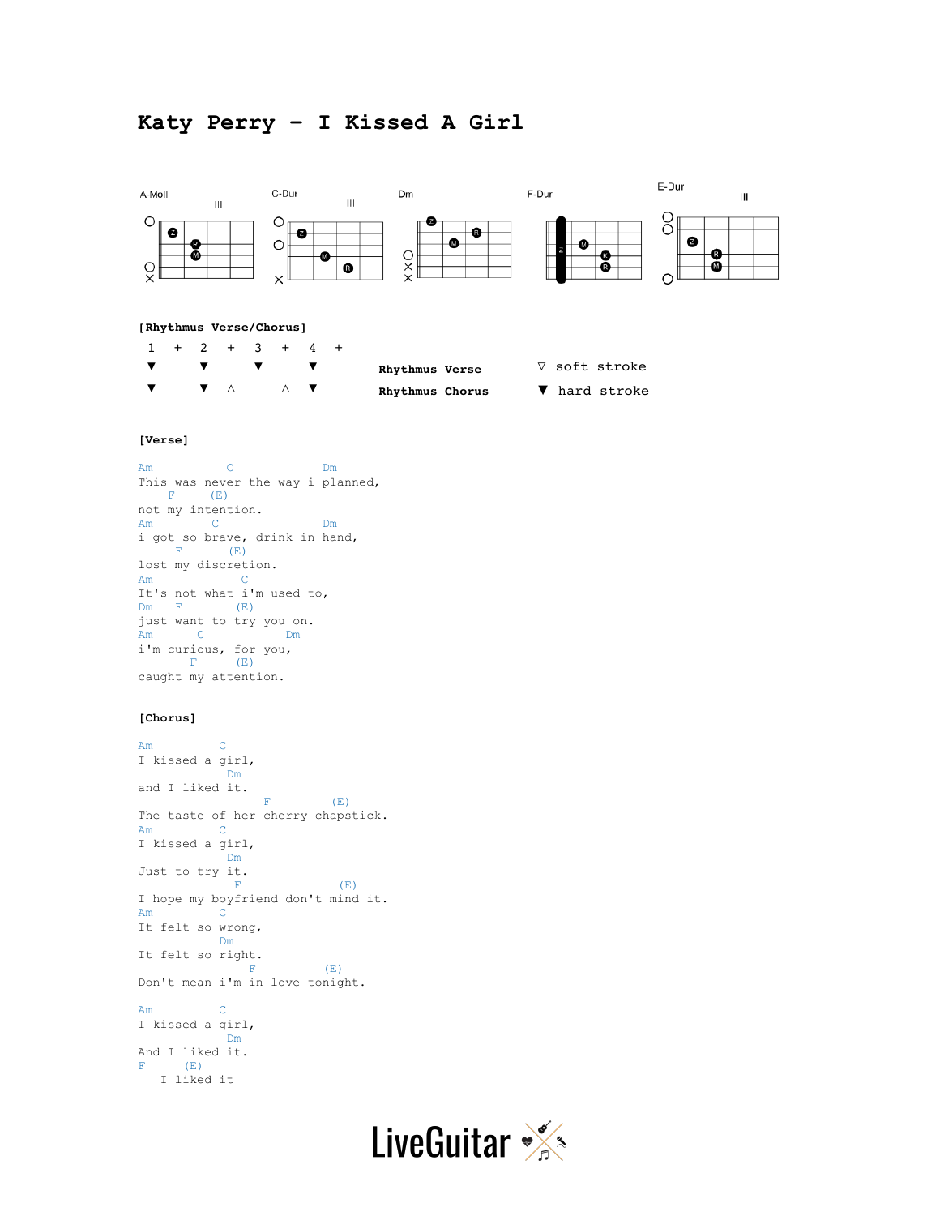## **Katy Perry – I Kissed A Girl**



Am C I kissed a girl, **Dm** And I liked it.  $F$  (E) I liked it